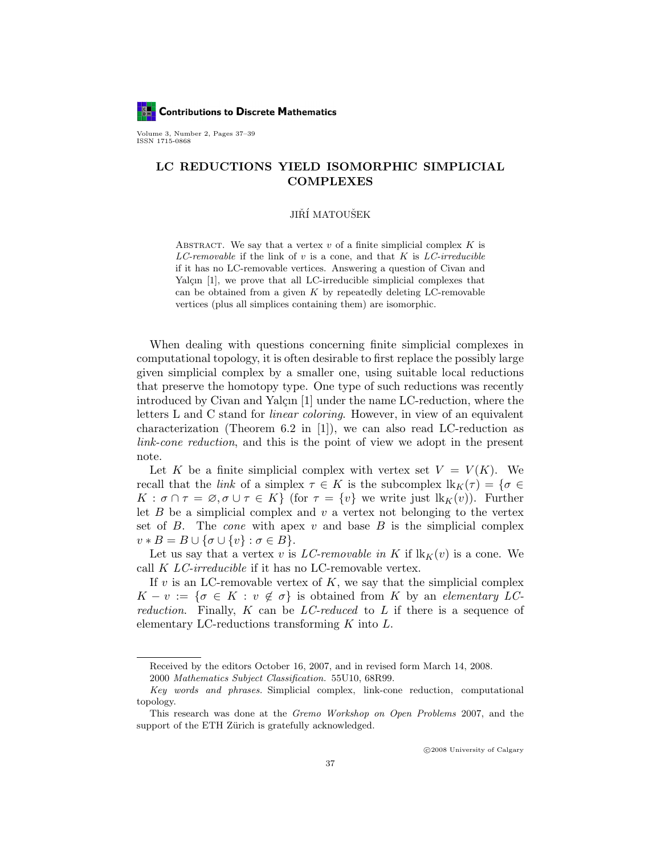

Volume 3, Number 2, Pages 37–39 ISSN 1715-0868

## LC REDUCTIONS YIELD ISOMORPHIC SIMPLICIAL COMPLEXES

## JIŘÍ MATOUŠEK

ABSTRACT. We say that a vertex  $v$  of a finite simplicial complex  $K$  is LC-removable if the link of  $v$  is a cone, and that  $K$  is LC-irreducible if it has no LC-removable vertices. Answering a question of Civan and Yalçın  $[1]$ , we prove that all LC-irreducible simplicial complexes that can be obtained from a given  $K$  by repeatedly deleting LC-removable vertices (plus all simplices containing them) are isomorphic.

When dealing with questions concerning finite simplicial complexes in computational topology, it is often desirable to first replace the possibly large given simplicial complex by a smaller one, using suitable local reductions that preserve the homotopy type. One type of such reductions was recently introduced by Civan and Yalçın  $[1]$  under the name LC-reduction, where the letters L and C stand for linear coloring. However, in view of an equivalent characterization (Theorem 6.2 in [1]), we can also read LC-reduction as link-cone reduction, and this is the point of view we adopt in the present note.

Let K be a finite simplicial complex with vertex set  $V = V(K)$ . We recall that the *link* of a simplex  $\tau \in K$  is the subcomplex  $lk_K(\tau) = \{\sigma \in$  $K : \sigma \cap \tau = \emptyset, \sigma \cup \tau \in K$  (for  $\tau = \{v\}$  we write just  $lk_K(v)$ ). Further let B be a simplicial complex and  $v$  a vertex not belonging to the vertex set of  $B$ . The *cone* with apex  $v$  and base  $B$  is the simplicial complex  $v * B = B \cup {\sigma \cup \{v\} : \sigma \in B}.$ 

Let us say that a vertex v is LC-removable in K if  $lk_K(v)$  is a cone. We call K LC-irreducible if it has no LC-removable vertex.

If  $v$  is an LC-removable vertex of  $K$ , we say that the simplicial complex  $K - v := \{ \sigma \in K : v \notin \sigma \}$  is obtained from K by an elementary LCreduction. Finally,  $K$  can be LC-reduced to L if there is a sequence of elementary LC-reductions transforming  $K$  into  $L$ .

Received by the editors October 16, 2007, and in revised form March 14, 2008.

<sup>2000</sup> Mathematics Subject Classification. 55U10, 68R99.

Key words and phrases. Simplicial complex, link-cone reduction, computational topology.

This research was done at the Gremo Workshop on Open Problems 2007, and the support of the ETH Zürich is gratefully acknowledged.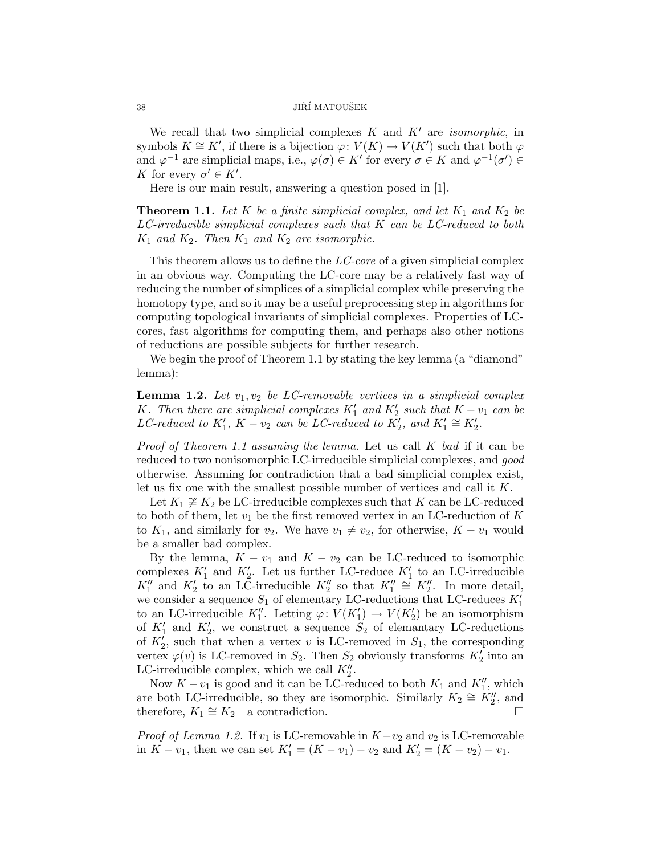## $\,$  JIŘÍ $\,$ MATOUŠEK  $\,$

We recall that two simplicial complexes  $K$  and  $K'$  are *isomorphic*, in symbols  $K \cong K'$ , if there is a bijection  $\varphi: V(K) \to V(K')$  such that both  $\varphi$ and  $\varphi^{-1}$  are simplicial maps, i.e.,  $\varphi(\sigma) \in K'$  for every  $\sigma \in K$  and  $\varphi^{-1}(\sigma') \in$ K for every  $\sigma' \in K'.$ 

Here is our main result, answering a question posed in [1].

**Theorem 1.1.** Let K be a finite simplicial complex, and let  $K_1$  and  $K_2$  be  $LC$ -irreducible simplicial complexes such that  $K$  can be  $LC$ -reduced to both  $K_1$  and  $K_2$ . Then  $K_1$  and  $K_2$  are isomorphic.

This theorem allows us to define the  $LC\text{-}core$  of a given simplicial complex in an obvious way. Computing the LC-core may be a relatively fast way of reducing the number of simplices of a simplicial complex while preserving the homotopy type, and so it may be a useful preprocessing step in algorithms for computing topological invariants of simplicial complexes. Properties of LCcores, fast algorithms for computing them, and perhaps also other notions of reductions are possible subjects for further research.

We begin the proof of Theorem 1.1 by stating the key lemma (a "diamond" lemma):

**Lemma 1.2.** Let  $v_1, v_2$  be LC-removable vertices in a simplicial complex K. Then there are simplicial complexes  $K'_1$  and  $K'_2$  such that  $K - v_1$  can be LC-reduced to  $K'_1$ ,  $K - v_2$  can be LC-reduced to  $K'_2$ , and  $K'_1 \cong K'_2$ .

*Proof of Theorem 1.1 assuming the lemma.* Let us call  $K$  bad if it can be reduced to two nonisomorphic LC-irreducible simplicial complexes, and good otherwise. Assuming for contradiction that a bad simplicial complex exist, let us fix one with the smallest possible number of vertices and call it K.

Let  $K_1 \not\cong K_2$  be LC-irreducible complexes such that K can be LC-reduced to both of them, let  $v_1$  be the first removed vertex in an LC-reduction of  $K$ to  $K_1$ , and similarly for  $v_2$ . We have  $v_1 \neq v_2$ , for otherwise,  $K - v_1$  would be a smaller bad complex.

By the lemma,  $K - v_1$  and  $K - v_2$  can be LC-reduced to isomorphic complexes  $K'_1$  and  $K'_2$ . Let us further LC-reduce  $K'_1$  to an LC-irreducible  $K_1''$  and  $K_2'$  to an LC-irreducible  $K_2''$  so that  $K_1'' \cong K_2''$ . In more detail, we consider a sequence  $S_1$  of elementary LC-reductions that LC-reduces  $K_1'$ to an LC-irreducible  $K_1''$ . Letting  $\varphi: V(K_1') \to V(K_2')$  be an isomorphism of  $K_1'$  and  $K_2'$ , we construct a sequence  $S_2$  of elemantary LC-reductions of  $K_2^{\overline{I}}$ , such that when a vertex v is LC-removed in  $S_1$ , the corresponding vertex  $\varphi(v)$  is LC-removed in  $S_2$ . Then  $S_2$  obviously transforms  $K_2'$  into an LC-irreducible complex, which we call  $K_2''$ .

Now  $K - v_1$  is good and it can be LC-reduced to both  $K_1$  and  $K_1''$ , which are both LC-irreducible, so they are isomorphic. Similarly  $K_2 \cong K_2''$ , and therefore,  $K_1 \cong K_2$ —a contradiction.

*Proof of Lemma 1.2.* If  $v_1$  is LC-removable in  $K-v_2$  and  $v_2$  is LC-removable in  $K - v_1$ , then we can set  $K'_1 = (K - v_1) - v_2$  and  $K'_2 = (K - v_2) - v_1$ .